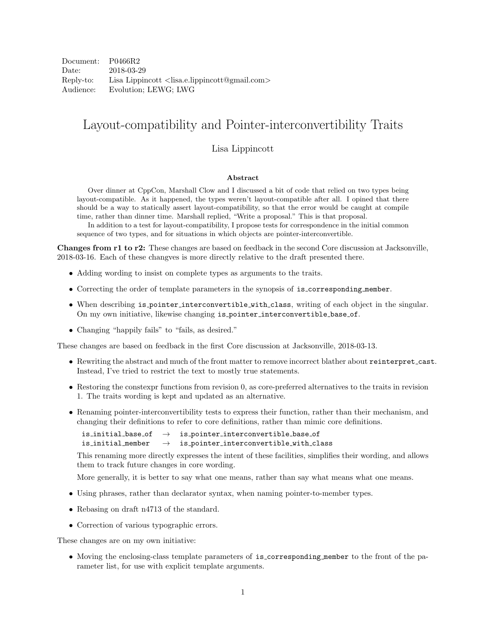Document: P0466R2 Date: 2018-03-29 Reply-to: Lisa Lippincott <lisa.e.lippincott@gmail.com> Audience: Evolution; LEWG; LWG

# Layout-compatibility and Pointer-interconvertibility Traits

#### Lisa Lippincott

#### Abstract

Over dinner at CppCon, Marshall Clow and I discussed a bit of code that relied on two types being layout-compatible. As it happened, the types weren't layout-compatible after all. I opined that there should be a way to statically assert layout-compatibility, so that the error would be caught at compile time, rather than dinner time. Marshall replied, "Write a proposal." This is that proposal.

In addition to a test for layout-compatibility, I propose tests for correspondence in the initial common sequence of two types, and for situations in which objects are pointer-interconvertible.

Changes from r1 to r2: These changes are based on feedback in the second Core discussion at Jacksonville, 2018-03-16. Each of these changves is more directly relative to the draft presented there.

- Adding wording to insist on complete types as arguments to the traits.
- Correcting the order of template parameters in the synopsis of is corresponding member.
- When describing is pointer interconvertible with class, writing of each object in the singular. On my own initiative, likewise changing is pointer interconvertible base of.
- Changing "happily fails" to "fails, as desired."

These changes are based on feedback in the first Core discussion at Jacksonville, 2018-03-13.

- Rewriting the abstract and much of the front matter to remove incorrect blather about reinterpret cast. Instead, I've tried to restrict the text to mostly true statements.
- Restoring the constexpr functions from revision 0, as core-preferred alternatives to the traits in revision 1. The traits wording is kept and updated as an alternative.
- Renaming pointer-interconvertibility tests to express their function, rather than their mechanism, and changing their definitions to refer to core definitions, rather than mimic core definitions.

is\_initial\_base\_of  $\rightarrow$  is\_pointer\_interconvertible\_base\_of is initial member  $\rightarrow$  is pointer interconvertible with class

This renaming more directly expresses the intent of these facilities, simplifies their wording, and allows them to track future changes in core wording.

More generally, it is better to say what one means, rather than say what means what one means.

- Using phrases, rather than declarator syntax, when naming pointer-to-member types.
- Rebasing on draft n4713 of the standard.
- Correction of various typographic errors.

These changes are on my own initiative:

• Moving the enclosing-class template parameters of is corresponding member to the front of the parameter list, for use with explicit template arguments.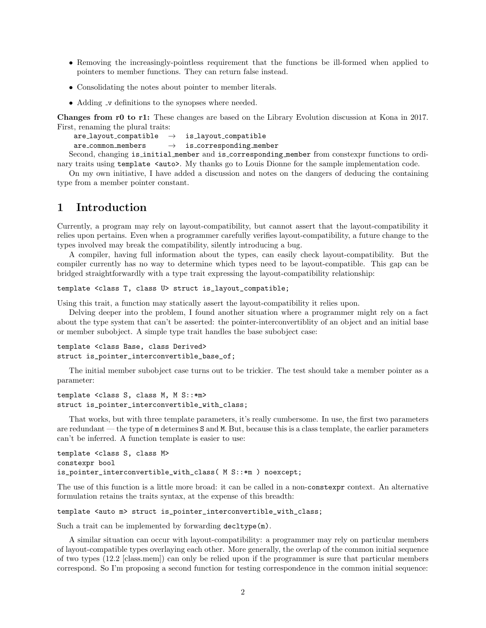- Removing the increasingly-pointless requirement that the functions be ill-formed when applied to pointers to member functions. They can return false instead.
- Consolidating the notes about pointer to member literals.
- Adding v definitions to the synopses where needed.

Changes from r0 to r1: These changes are based on the Library Evolution discussion at Kona in 2017. First, renaming the plural traits:

```
are \text{.} layout_compatible \rightarrow is_layout_compatible
 are_{\text{common\_members}} \rightarrow is corresponding member
Second, changing is initial member and is corresponding member from constexpr functions to ordi-
```
nary traits using template <auto>. My thanks go to Louis Dionne for the sample implementation code. On my own initiative, I have added a discussion and notes on the dangers of deducing the containing

type from a member pointer constant.

## 1 Introduction

Currently, a program may rely on layout-compatibility, but cannot assert that the layout-compatibility it relies upon pertains. Even when a programmer carefully verifies layout-compatibility, a future change to the types involved may break the compatibility, silently introducing a bug.

A compiler, having full information about the types, can easily check layout-compatibility. But the compiler currently has no way to determine which types need to be layout-compatible. This gap can be bridged straightforwardly with a type trait expressing the layout-compatibility relationship:

```
template <class T, class U> struct is_layout_compatible;
```
Using this trait, a function may statically assert the layout-compatibility it relies upon.

Delving deeper into the problem, I found another situation where a programmer might rely on a fact about the type system that can't be asserted: the pointer-interconvertiblity of an object and an initial base or member subobject. A simple type trait handles the base subobject case:

```
template <class Base, class Derived>
struct is_pointer_interconvertible_base_of;
```
The initial member subobject case turns out to be trickier. The test should take a member pointer as a parameter:

```
template <class S, class M, M S::*m>
struct is_pointer_interconvertible_with_class;
```
That works, but with three template parameters, it's really cumbersome. In use, the first two parameters are redundant — the type of m determines S and M. But, because this is a class template, the earlier parameters can't be inferred. A function template is easier to use:

```
template <class S, class M>
constexpr bool
is_pointer_interconvertible_with_class( M S::*m ) noexcept;
```
The use of this function is a little more broad: it can be called in a non-constexpr context. An alternative formulation retains the traits syntax, at the expense of this breadth:

template <auto m> struct is\_pointer\_interconvertible\_with\_class;

Such a trait can be implemented by forwarding  $\text{decltype}(m)$ .

A similar situation can occur with layout-compatibility: a programmer may rely on particular members of layout-compatible types overlaying each other. More generally, the overlap of the common initial sequence of two types (12.2 [class.mem]) can only be relied upon if the programmer is sure that particular members correspond. So I'm proposing a second function for testing correspondence in the common initial sequence: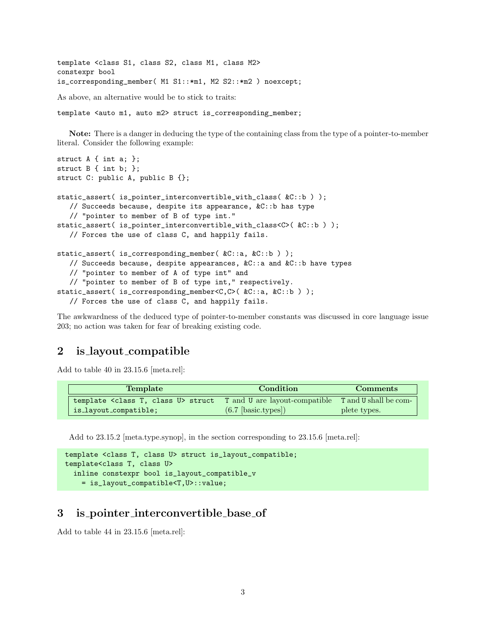```
template <class S1, class S2, class M1, class M2>
constexpr bool
is_corresponding_member( M1 S1::*m1, M2 S2::*m2 ) noexcept;
As above, an alternative would be to stick to traits:
template <auto m1, auto m2> struct is_corresponding_member;
```
Note: There is a danger in deducing the type of the containing class from the type of a pointer-to-member literal. Consider the following example:

```
struct A { int a; };
struct B { int b; };
struct C: public A, public B {};
static_assert( is_pointer_interconvertible_with_class( &C::b ) );
  // Succeeds because, despite its appearance, &C::b has type
  // "pointer to member of B of type int."
static_assert( is_pointer_interconvertible_with_class<C>( &C::b ) );
  // Forces the use of class C, and happily fails.
static_assert( is_corresponding_member( &C::a, &C::b ) );
   // Succeeds because, despite appearances, &C::a and &C::b have types
  // "pointer to member of A of type int" and
  // "pointer to member of B of type int," respectively.
static_assert( is_corresponding_member<C,C>( &C::a, &C::b ) );
   // Forces the use of class C, and happily fails.
```
The awkwardness of the deduced type of pointer-to-member constants was discussed in core language issue 203; no action was taken for fear of breaking existing code.

## 2 is layout compatible

Add to table 40 in 23.15.6 [meta.rel]:

| <b>Template</b>                                     | Condition                                           | <b>Comments</b> |
|-----------------------------------------------------|-----------------------------------------------------|-----------------|
| template <class class="" t,="" u=""> struct</class> | T and U are layout-compatible T and U shall be com- |                 |
| is_layout_compatible;                               | $(6.7 \; [basic.types])$                            | plete types.    |

Add to 23.15.2 [meta.type.synop], in the section corresponding to 23.15.6 [meta.rel]:

```
template <class T, class U> struct is_layout_compatible;
template<class T, class U>
 inline constexpr bool is_layout_compatible_v
   = is_layout_compatible<T,U>::value;
```
# 3 is pointer interconvertible base of

Add to table 44 in 23.15.6 [meta.rel]: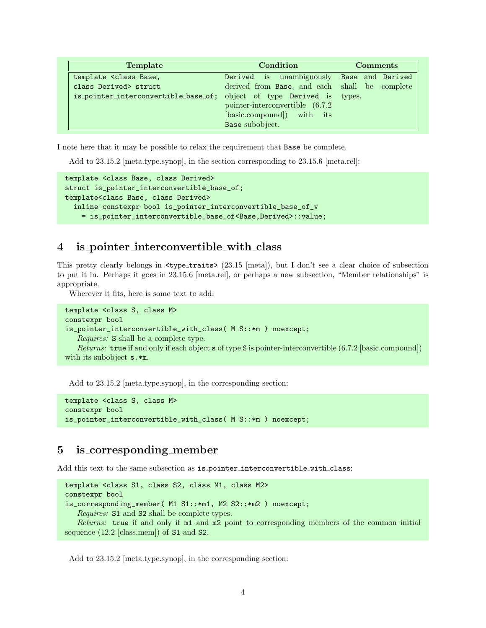| Template                                                                                            | Condition                                                                                                             | <b>Comments</b> |
|-----------------------------------------------------------------------------------------------------|-----------------------------------------------------------------------------------------------------------------------|-----------------|
| template <class base,<="" th=""><th>Derived is unambiguously Base and Derived</th><th></th></class> | Derived is unambiguously Base and Derived                                                                             |                 |
| class Derived> struct                                                                               | derived from Base, and each shall be complete                                                                         |                 |
| is_pointer_interconvertible_base_of;                                                                | object of type Derived is types.<br>pointer-interconvertible (6.7.2)<br>[basic.compound]) with its<br>Base subobject. |                 |

I note here that it may be possible to relax the requirement that Base be complete.

Add to 23.15.2 [meta.type.synop], in the section corresponding to 23.15.6 [meta.rel]:

```
template <class Base, class Derived>
struct is_pointer_interconvertible_base_of;
template<class Base, class Derived>
  inline constexpr bool is_pointer_interconvertible_base_of_v
    = is_pointer_interconvertible_base_of<Base,Derived>::value;
```
### 4 is pointer interconvertible with class

This pretty clearly belongs in  $\langle \text{type\_traits} \rangle$  (23.15 [meta]), but I don't see a clear choice of subsection to put it in. Perhaps it goes in 23.15.6 [meta.rel], or perhaps a new subsection, "Member relationships" is appropriate.

Wherever it fits, here is some text to add:

```
template <class S, class M>
constexpr bool
is_pointer_interconvertible_with_class( M S::*m ) noexcept;
   Requires: S shall be a complete type.
   Returns: true if and only if each object s of type S is pointer-interconvertible (6.7.2 [basic.compound])
with its subobject s.*m.
```
Add to 23.15.2 [meta.type.synop], in the corresponding section:

```
template <class S, class M>
constexpr bool
is_pointer_interconvertible_with_class( M S::*m ) noexcept;
```
## 5 is corresponding member

Add this text to the same subsection as is pointer interconvertible with class:

```
template <class S1, class S2, class M1, class M2>
constexpr bool
is_corresponding_member( M1 S1::*m1, M2 S2::*m2 ) noexcept;
   Requires: S1 and S2 shall be complete types.
   Returns: true if and only if m1 and m2 point to corresponding members of the common initial
sequence (12.2 \text{ [class.mem]}) of S1 and S2.
```
Add to 23.15.2 [meta.type.synop], in the corresponding section: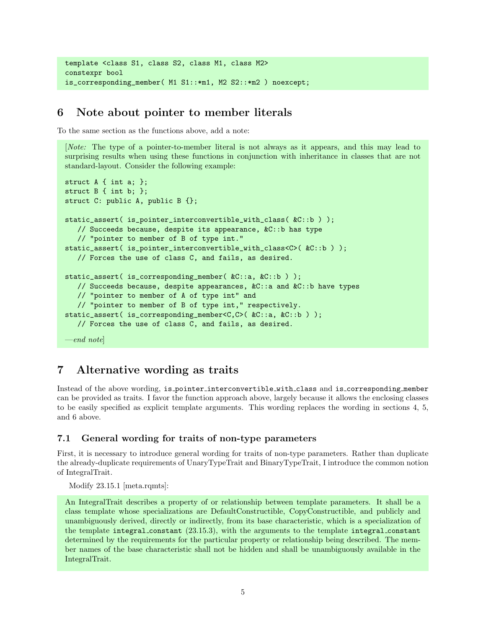```
template <class S1, class S2, class M1, class M2>
constexpr bool
is_corresponding_member( M1 S1::*m1, M2 S2::*m2 ) noexcept;
```
# 6 Note about pointer to member literals

To the same section as the functions above, add a note:

[Note: The type of a pointer-to-member literal is not always as it appears, and this may lead to surprising results when using these functions in conjunction with inheritance in classes that are not standard-layout. Consider the following example:

```
struct A { int a; };
struct B { int b; };
struct C: public A, public B {};
static_assert( is_pointer_interconvertible_with_class( &C::b ) );
   // Succeeds because, despite its appearance, &C::b has type
   // "pointer to member of B of type int."
static_assert( is_pointer_interconvertible_with_class<C>( &C::b ) );
  // Forces the use of class C, and fails, as desired.
static_assert( is_corresponding_member( \&C::a, \&C::b ) );
  // Succeeds because, despite appearances, &C::a and &C::b have types
  // "pointer to member of A of type int" and
   // "pointer to member of B of type int," respectively.
static_assert( is_corresponding_member<C,C>( &C::a, &C::b ) );
  // Forces the use of class C, and fails, as desired.
\_\_end note
```
# 7 Alternative wording as traits

Instead of the above wording, is pointer interconvertible with class and is corresponding member can be provided as traits. I favor the function approach above, largely because it allows the enclosing classes to be easily specified as explicit template arguments. This wording replaces the wording in sections 4, 5, and 6 above.

#### 7.1 General wording for traits of non-type parameters

First, it is necessary to introduce general wording for traits of non-type parameters. Rather than duplicate the already-duplicate requirements of UnaryTypeTrait and BinaryTypeTrait, I introduce the common notion of IntegralTrait.

Modify 23.15.1 [meta.rqmts]:

An IntegralTrait describes a property of or relationship between template parameters. It shall be a class template whose specializations are DefaultConstructible, CopyConstructible, and publicly and unambiguously derived, directly or indirectly, from its base characteristic, which is a specialization of the template integral constant (23.15.3), with the arguments to the template integral constant determined by the requirements for the particular property or relationship being described. The member names of the base characteristic shall not be hidden and shall be unambiguously available in the IntegralTrait.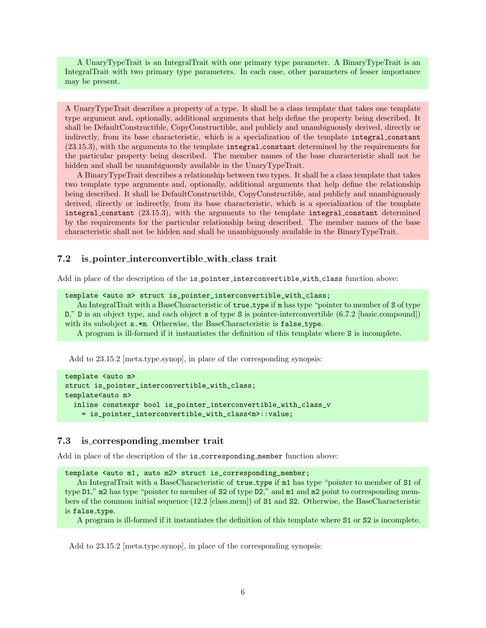A UnaryTypeTrait is an IntegralTrait with one primary type parameter. A BinaryTypeTrait is an IntegralTrait with two primary type parameters. In each case, other parameters of lesser importance may be present.

A UnaryTypeTrait describes a property of a type. It shall be a class template that takes one template type argument and, optionally, additional arguments that help define the property being described. It shall be DefaultConstructible, CopyConstructible, and publicly and unambiguously derived, directly or indirectly, from its base characteristic, which is a specialization of the template integral constant (23.15.3), with the arguments to the template integral constant determined by the requirements for the particular property being described. The member names of the base characteristic shall not be hidden and shall be unambiguously available in the UnaryTypeTrait.

A BinaryTypeTrait describes a relationship between two types. It shall be a class template that takes two template type arguments and, optionally, additional arguments that help define the relationship being described. It shall be DefaultConstructible, CopyConstructible, and publicly and unambiguously derived, directly or indirectly, from its base characteristic, which is a specialization of the template integral constant (23.15.3), with the arguments to the template integral constant determined by the requirements for the particular relationship being described. The member names of the base characteristic shall not be hidden and shall be unambiguously available in the BinaryTypeTrait.

#### 7.2 is pointer interconvertible with class trait

Add in place of the description of the is pointer interconvertible with class function above:

```
template <auto m> struct is_pointer_interconvertible_with_class;
```
An IntegralTrait with a BaseCharacteristic of  $true_type$  if m has type "pointer to member of S of type D," D is an object type, and each object s of type S is pointer-interconvertible (6.7.2 [basic.compound]) with its subobject  $s.*m$ . Otherwise, the BaseCharacteristic is  $false_type$ .

A program is ill-formed if it instantiates the definition of this template where S is incomplete.

Add to 23.15.2 [meta.type.synop], in place of the corresponding synopsis:

```
template <auto m>
struct is_pointer_interconvertible_with_class;
template<auto m>
 inline constexpr bool is_pointer_interconvertible_with_class_v
    = is_pointer_interconvertible_with_class<m>::value;
```
#### 7.3 is corresponding member trait

Add in place of the description of the is corresponding member function above:

template <auto m1, auto m2> struct is\_corresponding\_member;

An IntegralTrait with a BaseCharacteristic of true\_type if m1 has type "pointer to member of S1 of type D1," m2 has type "pointer to member of S2 of type D2," and m1 and m2 point to corresponding members of the common initial sequence (12.2 [class.mem]) of S1 and S2. Otherwise, the BaseCharacteristic is false\_type.

A program is ill-formed if it instantiates the definition of this template where S1 or S2 is incomplete.

Add to 23.15.2 [meta.type.synop], in place of the corresponding synopsis: